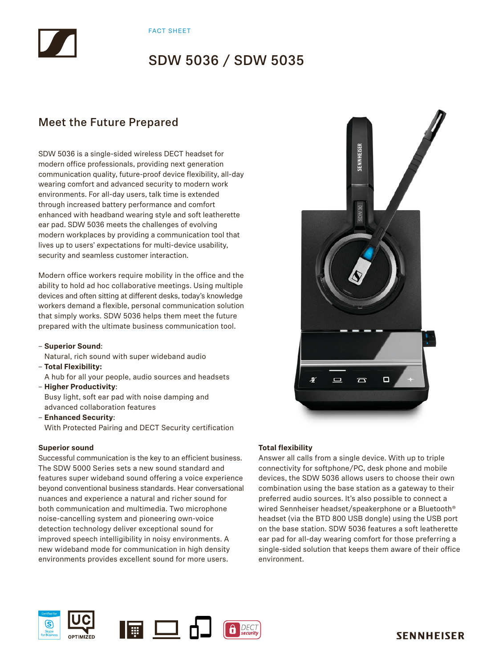## Meet the Future Prepared

SDW 5036 is a single-sided wireless DECT headset for modern office professionals, providing next generation communication quality, future-proof device flexibility, all-day wearing comfort and advanced security to modern work environments. For all-day users, talk time is extended through increased battery performance and comfort enhanced with headband wearing style and soft leatherette ear pad. SDW 5036 meets the challenges of evolving modern workplaces by providing a communication tool that lives up to users' expectations for multi-device usability, security and seamless customer interaction.

Modern office workers require mobility in the office and the ability to hold ad hoc collaborative meetings. Using multiple devices and often sitting at different desks, today's knowledge workers demand a flexible, personal communication solution that simply works. SDW 5036 helps them meet the future prepared with the ultimate business communication tool.

- **Superior Sound**:
- Natural, rich sound with super wideband audio
- **Total Flexibility:**
- A hub for all your people, audio sources and headsets – **Higher Productivity**:
- Busy light, soft ear pad with noise damping and advanced collaboration features
- **Enhanced Security**: With Protected Pairing and DECT Security certification

### **Superior sound**

Successful communication is the key to an efficient business. The SDW 5000 Series sets a new sound standard and features super wideband sound offering a voice experience beyond conventional business standards. Hear conversational nuances and experience a natural and richer sound for both communication and multimedia. Two microphone noise-cancelling system and pioneering own-voice detection technology deliver exceptional sound for improved speech intelligibility in noisy environments. A new wideband mode for communication in high density environments provides excellent sound for more users.



### **Total flexibility**

Answer all calls from a single device. With up to triple connectivity for softphone/PC, desk phone and mobile devices, the SDW 5036 allows users to choose their own combination using the base station as a gateway to their preferred audio sources. It's also possible to connect a wired Sennheiser headset/speakerphone or a Bluetooth® headset (via the BTD 800 USB dongle) using the USB port on the base station. SDW 5036 features a soft leatherette ear pad for all-day wearing comfort for those preferring a single-sided solution that keeps them aware of their office environment.



## **SENNHEISER**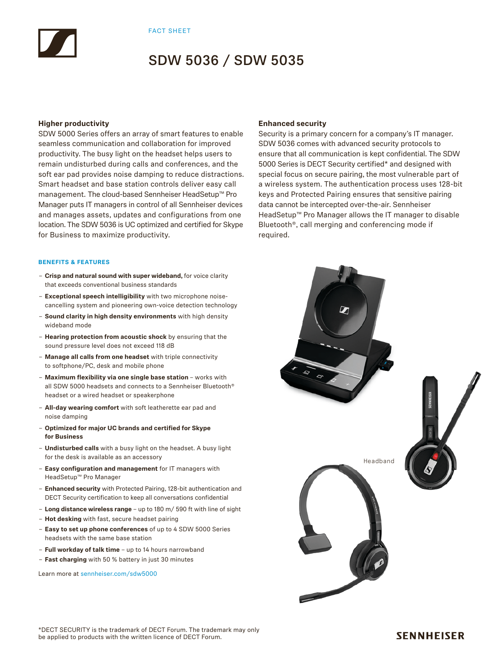#### **Higher productivity**

SDW 5000 Series offers an array of smart features to enable seamless communication and collaboration for improved productivity. The busy light on the headset helps users to remain undisturbed during calls and conferences, and the soft ear pad provides noise damping to reduce distractions. Smart headset and base station controls deliver easy call management. The cloud-based Sennheiser HeadSetup™ Pro Manager puts IT managers in control of all Sennheiser devices and manages assets, updates and configurations from one location. The SDW 5036 is UC optimized and certified for Skype for Business to maximize productivity.

#### **BENEFITS & FEATURES**

- **Crisp and natural sound with super wideband,** for voice clarity that exceeds conventional business standards
- **Exceptional speech intelligibility** with two microphone noisecancelling system and pioneering own-voice detection technology
- **Sound clarity in high density environments** with high density wideband mode
- **Hearing protection from acoustic shock** by ensuring that the sound pressure level does not exceed 118 dB
- **Manage all calls from one headset** with triple connectivity to softphone/PC, desk and mobile phone
- **Maximum flexibility via one single base station**  works with all SDW 5000 headsets and connects to a Sennheiser Bluetooth® headset or a wired headset or speakerphone
- **All-day wearing comfort** with soft leatherette ear pad and noise damping
- **Optimized for major UC brands and certified for Skype for Business**
- **Undisturbed calls** with a busy light on the headset. A busy light for the desk is available as an accessory
- **Easy configuration and management** for IT managers with HeadSetup™ Pro Manager
- **Enhanced security** with Protected Pairing, 128-bit authentication and DECT Security certification to keep all conversations confidential
- **Long distance wireless range** up to 180 m/ 590 ft with line of sight
- **Hot desking** with fast, secure headset pairing
- **Easy to set up phone conferences** of up to 4 SDW 5000 Series headsets with the same base station
- **Full workday of talk time** up to 14 hours narrowband
- **Fast charging** with 50 % battery in just 30 minutes

Learn more at sennheiser.com/sdw5000

### **Enhanced security**

Security is a primary concern for a company's IT manager. SDW 5036 comes with advanced security protocols to ensure that all communication is kept confidential. The SDW 5000 Series is DECT Security certified\* and designed with special focus on secure pairing, the most vulnerable part of a wireless system. The authentication process uses 128-bit keys and Protected Pairing ensures that sensitive pairing data cannot be intercepted over-the-air. Sennheiser HeadSetup™ Pro Manager allows the IT manager to disable Bluetooth®, call merging and conferencing mode if required.

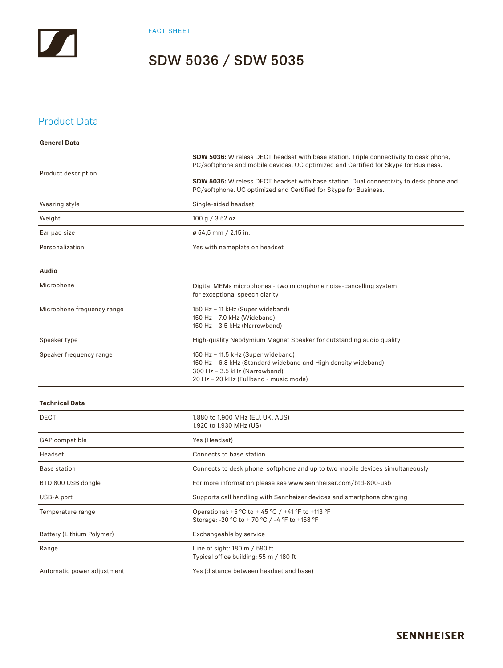FACT SHEET

## SDW 5036 / SDW 5035

### Product Data

| <b>General Data</b>        |                                                                                                                                                                                 |  |  |
|----------------------------|---------------------------------------------------------------------------------------------------------------------------------------------------------------------------------|--|--|
| Product description        | SDW 5036: Wireless DECT headset with base station. Triple connectivity to desk phone,<br>PC/softphone and mobile devices. UC optimized and Certified for Skype for Business.    |  |  |
|                            | <b>SDW 5035:</b> Wireless DECT headset with base station. Dual connectivity to desk phone and<br>PC/softphone. UC optimized and Certified for Skype for Business.               |  |  |
| Wearing style              | Single-sided headset                                                                                                                                                            |  |  |
| Weight                     | 100 g $/$ 3.52 oz                                                                                                                                                               |  |  |
| Ear pad size               | ø 54,5 mm / 2.15 in.                                                                                                                                                            |  |  |
| Personalization            | Yes with nameplate on headset                                                                                                                                                   |  |  |
| <b>Audio</b>               |                                                                                                                                                                                 |  |  |
| Microphone                 | Digital MEMs microphones - two microphone noise-cancelling system<br>for exceptional speech clarity                                                                             |  |  |
| Microphone frequency range | 150 Hz - 11 kHz (Super wideband)<br>150 Hz - 7.0 kHz (Wideband)<br>150 Hz - 3.5 kHz (Narrowband)                                                                                |  |  |
| Speaker type               | High-quality Neodymium Magnet Speaker for outstanding audio quality                                                                                                             |  |  |
| Speaker frequency range    | 150 Hz - 11.5 kHz (Super wideband)<br>150 Hz - 6.8 kHz (Standard wideband and High density wideband)<br>300 Hz - 3.5 kHz (Narrowband)<br>20 Hz - 20 kHz (Fullband - music mode) |  |  |
| <b>Technical Data</b>      |                                                                                                                                                                                 |  |  |
| <b>DECT</b>                | 1.880 to 1.900 MHz (EU, UK, AUS)<br>1.920 to 1.930 MHz (US)                                                                                                                     |  |  |
| GAP compatible             | Yes (Headset)                                                                                                                                                                   |  |  |
| Headset                    | Connects to base station                                                                                                                                                        |  |  |
| <b>Base station</b>        | Connects to desk phone, softphone and up to two mobile devices simultaneously                                                                                                   |  |  |
| BTD 800 USB dongle         | For more information please see www.sennheiser.com/btd-800-usb                                                                                                                  |  |  |
| USB-A port                 | Supports call handling with Sennheiser devices and smartphone charging                                                                                                          |  |  |
| Temperature range          | Operational: +5 °C to + 45 °C / +41 °F to +113 °F<br>Storage: -20 °C to + 70 °C / -4 °F to +158 °F                                                                              |  |  |
| Battery (Lithium Polymer)  | Exchangeable by service                                                                                                                                                         |  |  |
| Range                      | Line of sight: 180 m / 590 ft<br>Typical office building: 55 m / 180 ft                                                                                                         |  |  |
| Automatic power adjustment | Yes (distance between headset and base)                                                                                                                                         |  |  |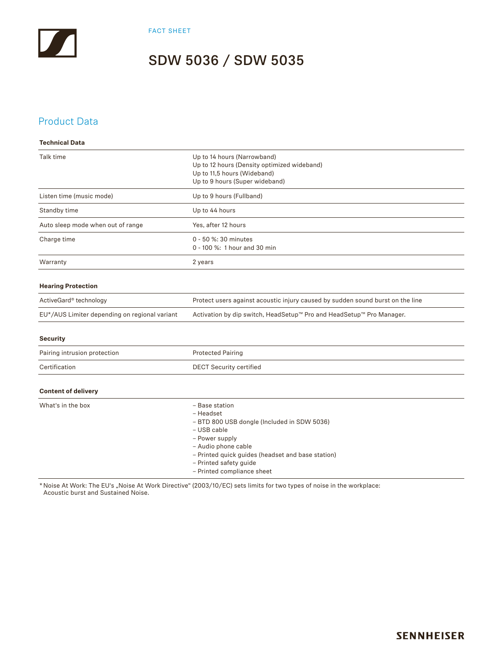### Product Data

| <b>Technical Data</b>                         |                                                                                                                                                                                                                                                 |
|-----------------------------------------------|-------------------------------------------------------------------------------------------------------------------------------------------------------------------------------------------------------------------------------------------------|
| Talk time                                     | Up to 14 hours (Narrowband)<br>Up to 12 hours (Density optimized wideband)<br>Up to 11,5 hours (Wideband)<br>Up to 9 hours (Super wideband)                                                                                                     |
| Listen time (music mode)                      | Up to 9 hours (Fullband)                                                                                                                                                                                                                        |
| Standby time                                  | Up to 44 hours                                                                                                                                                                                                                                  |
| Auto sleep mode when out of range             | Yes, after 12 hours                                                                                                                                                                                                                             |
| Charge time                                   | 0 - 50 %: 30 minutes<br>0 - 100 %: 1 hour and 30 min                                                                                                                                                                                            |
| Warranty                                      | 2 years                                                                                                                                                                                                                                         |
| <b>Hearing Protection</b>                     |                                                                                                                                                                                                                                                 |
| ActiveGard® technology                        | Protect users against acoustic injury caused by sudden sound burst on the line                                                                                                                                                                  |
| EU*/AUS Limiter depending on regional variant | Activation by dip switch, HeadSetup™ Pro and HeadSetup™ Pro Manager.                                                                                                                                                                            |
| <b>Security</b>                               |                                                                                                                                                                                                                                                 |
| Pairing intrusion protection                  | <b>Protected Pairing</b>                                                                                                                                                                                                                        |
| Certification                                 | <b>DECT Security certified</b>                                                                                                                                                                                                                  |
| <b>Content of delivery</b>                    |                                                                                                                                                                                                                                                 |
| What's in the box                             | - Base station<br>- Headset<br>- BTD 800 USB dongle (Included in SDW 5036)<br>- USB cable<br>- Power supply<br>- Audio phone cable<br>- Printed quick guides (headset and base station)<br>- Printed safety guide<br>- Printed compliance sheet |

\* Noise At Work: The EU's "Noise At Work Directive" (2003/10/EC) sets limits for two types of noise in the workplace: Acoustic burst and Sustained Noise.